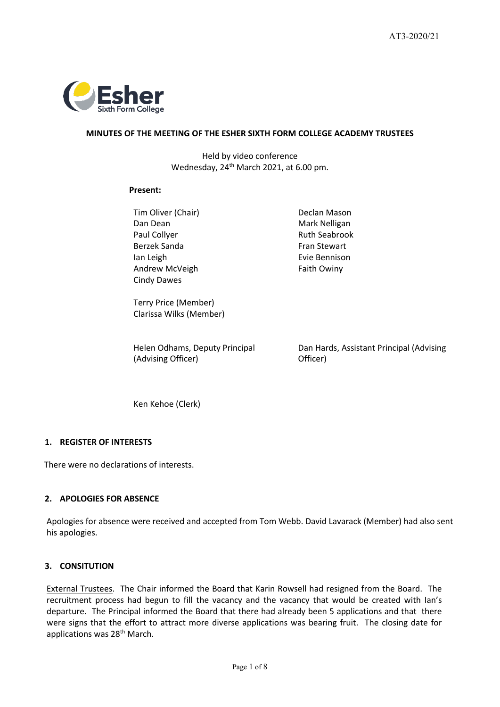

## **MINUTES OF THE MEETING OF THE ESHER SIXTH FORM COLLEGE ACADEMY TRUSTEES**

Held by video conference Wednesday, 24<sup>th</sup> March 2021, at 6.00 pm.

#### **Present:**

Tim Oliver (Chair) **Declan Mason** Dan Dean Mark Nelligan Paul Collyer **Ruth Seabrook** Ruth Seabrook Berzek Sanda Fran Stewart Ian Leigh Andrew McVeigh Cindy Dawes

Evie Bennison Faith Owiny

Terry Price (Member) Clarissa Wilks (Member)

Helen Odhams, Deputy Principal (Advising Officer)

Dan Hards, Assistant Principal (Advising Officer)

Ken Kehoe (Clerk)

## **1. REGISTER OF INTERESTS**

There were no declarations of interests.

## **2. APOLOGIES FOR ABSENCE**

Apologies for absence were received and accepted from Tom Webb. David Lavarack (Member) had also sent his apologies.

## **3. CONSITUTION**

External Trustees. The Chair informed the Board that Karin Rowsell had resigned from the Board. The recruitment process had begun to fill the vacancy and the vacancy that would be created with Ian's departure. The Principal informed the Board that there had already been 5 applications and that there were signs that the effort to attract more diverse applications was bearing fruit. The closing date for applications was 28<sup>th</sup> March.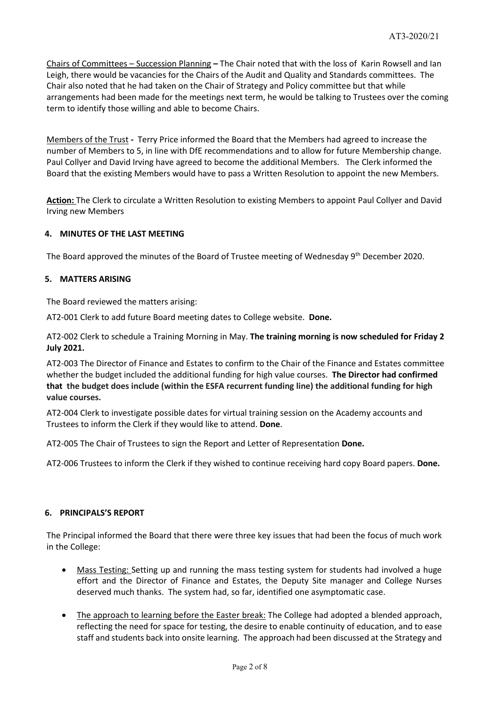Chairs of Committees – Succession Planning **–** The Chair noted that with the loss of Karin Rowsell and Ian Leigh, there would be vacancies for the Chairs of the Audit and Quality and Standards committees. The Chair also noted that he had taken on the Chair of Strategy and Policy committee but that while arrangements had been made for the meetings next term, he would be talking to Trustees over the coming term to identify those willing and able to become Chairs.

Members of the Trust **-** Terry Price informed the Board that the Members had agreed to increase the number of Members to 5, in line with DfE recommendations and to allow for future Membership change. Paul Collyer and David Irving have agreed to become the additional Members. The Clerk informed the Board that the existing Members would have to pass a Written Resolution to appoint the new Members.

**Action:** The Clerk to circulate a Written Resolution to existing Members to appoint Paul Collyer and David Irving new Members

#### **4. MINUTES OF THE LAST MEETING**

The Board approved the minutes of the Board of Trustee meeting of Wednesday 9<sup>th</sup> December 2020.

#### **5. MATTERS ARISING**

The Board reviewed the matters arising:

AT2-001 Clerk to add future Board meeting dates to College website. **Done.**

AT2-002 Clerk to schedule a Training Morning in May. **The training morning is now scheduled for Friday 2 July 2021.**

AT2-003 The Director of Finance and Estates to confirm to the Chair of the Finance and Estates committee whether the budget included the additional funding for high value courses. **The Director had confirmed that the budget does include (within the ESFA recurrent funding line) the additional funding for high value courses.**

AT2-004 Clerk to investigate possible dates for virtual training session on the Academy accounts and Trustees to inform the Clerk if they would like to attend. **Done**.

AT2-005 The Chair of Trustees to sign the Report and Letter of Representation **Done.**

AT2-006 Trustees to inform the Clerk if they wished to continue receiving hard copy Board papers. **Done.**

#### **6. PRINCIPALS'S REPORT**

The Principal informed the Board that there were three key issues that had been the focus of much work in the College:

- Mass Testing: Setting up and running the mass testing system for students had involved a huge effort and the Director of Finance and Estates, the Deputy Site manager and College Nurses deserved much thanks. The system had, so far, identified one asymptomatic case.
- The approach to learning before the Easter break: The College had adopted a blended approach, reflecting the need for space for testing, the desire to enable continuity of education, and to ease staff and students back into onsite learning. The approach had been discussed at the Strategy and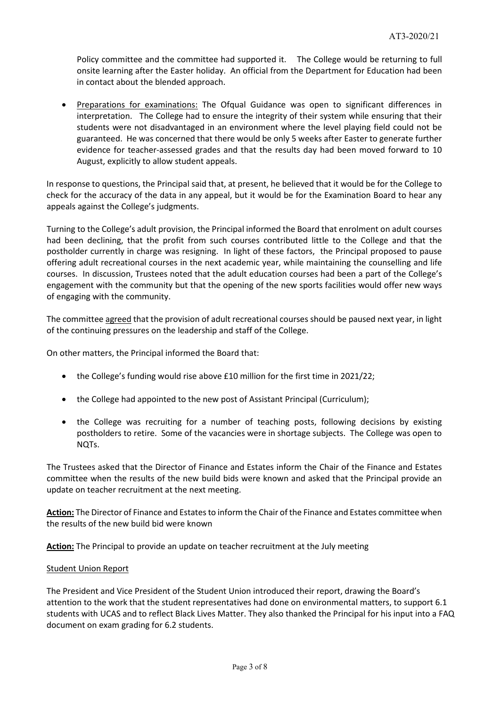Policy committee and the committee had supported it. The College would be returning to full onsite learning after the Easter holiday. An official from the Department for Education had been in contact about the blended approach.

• Preparations for examinations: The Ofqual Guidance was open to significant differences in interpretation. The College had to ensure the integrity of their system while ensuring that their students were not disadvantaged in an environment where the level playing field could not be guaranteed. He was concerned that there would be only 5 weeks after Easter to generate further evidence for teacher-assessed grades and that the results day had been moved forward to 10 August, explicitly to allow student appeals.

In response to questions, the Principal said that, at present, he believed that it would be for the College to check for the accuracy of the data in any appeal, but it would be for the Examination Board to hear any appeals against the College's judgments.

Turning to the College's adult provision, the Principal informed the Board that enrolment on adult courses had been declining, that the profit from such courses contributed little to the College and that the postholder currently in charge was resigning. In light of these factors, the Principal proposed to pause offering adult recreational courses in the next academic year, while maintaining the counselling and life courses. In discussion, Trustees noted that the adult education courses had been a part of the College's engagement with the community but that the opening of the new sports facilities would offer new ways of engaging with the community.

The committee agreed that the provision of adult recreational courses should be paused next year, in light of the continuing pressures on the leadership and staff of the College.

On other matters, the Principal informed the Board that:

- the College's funding would rise above £10 million for the first time in 2021/22;
- the College had appointed to the new post of Assistant Principal (Curriculum);
- the College was recruiting for a number of teaching posts, following decisions by existing postholders to retire. Some of the vacancies were in shortage subjects. The College was open to NQTs.

The Trustees asked that the Director of Finance and Estates inform the Chair of the Finance and Estates committee when the results of the new build bids were known and asked that the Principal provide an update on teacher recruitment at the next meeting.

Action: The Director of Finance and Estates to inform the Chair of the Finance and Estates committee when the results of the new build bid were known

**Action:** The Principal to provide an update on teacher recruitment at the July meeting

#### Student Union Report

The President and Vice President of the Student Union introduced their report, drawing the Board's attention to the work that the student representatives had done on environmental matters, to support 6.1 students with UCAS and to reflect Black Lives Matter. They also thanked the Principal for his input into a FAQ document on exam grading for 6.2 students.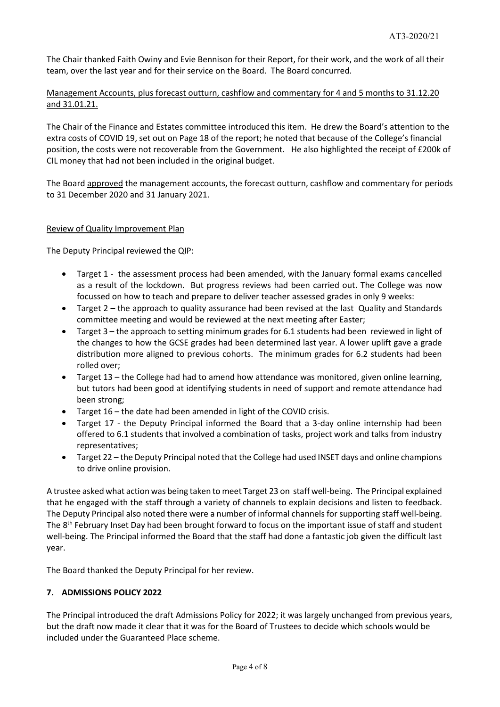The Chair thanked Faith Owiny and Evie Bennison for their Report, for their work, and the work of all their team, over the last year and for their service on the Board. The Board concurred.

# Management Accounts, plus forecast outturn, cashflow and commentary for 4 and 5 months to 31.12.20 and 31.01.21.

The Chair of the Finance and Estates committee introduced this item. He drew the Board's attention to the extra costs of COVID 19, set out on Page 18 of the report; he noted that because of the College's financial position, the costs were not recoverable from the Government. He also highlighted the receipt of £200k of CIL money that had not been included in the original budget.

The Board approved the management accounts, the forecast outturn, cashflow and commentary for periods to 31 December 2020 and 31 January 2021.

## Review of Quality Improvement Plan

The Deputy Principal reviewed the QIP:

- Target 1 the assessment process had been amended, with the January formal exams cancelled as a result of the lockdown. But progress reviews had been carried out. The College was now focussed on how to teach and prepare to deliver teacher assessed grades in only 9 weeks:
- Target 2 the approach to quality assurance had been revised at the last Quality and Standards committee meeting and would be reviewed at the next meeting after Easter;
- Target 3 the approach to setting minimum grades for 6.1 students had been reviewed in light of the changes to how the GCSE grades had been determined last year. A lower uplift gave a grade distribution more aligned to previous cohorts. The minimum grades for 6.2 students had been rolled over;
- Target 13 the College had had to amend how attendance was monitored, given online learning, but tutors had been good at identifying students in need of support and remote attendance had been strong;
- Target 16 the date had been amended in light of the COVID crisis.
- Target 17 the Deputy Principal informed the Board that a 3-day online internship had been offered to 6.1 students that involved a combination of tasks, project work and talks from industry representatives;
- Target 22 the Deputy Principal noted that the College had used INSET days and online champions to drive online provision.

A trustee asked what action was being taken to meet Target 23 on staff well-being. The Principal explained that he engaged with the staff through a variety of channels to explain decisions and listen to feedback. The Deputy Principal also noted there were a number of informal channels for supporting staff well-being. The  $8<sup>th</sup>$  February Inset Day had been brought forward to focus on the important issue of staff and student well-being. The Principal informed the Board that the staff had done a fantastic job given the difficult last year.

The Board thanked the Deputy Principal for her review.

## **7. ADMISSIONS POLICY 2022**

The Principal introduced the draft Admissions Policy for 2022; it was largely unchanged from previous years, but the draft now made it clear that it was for the Board of Trustees to decide which schools would be included under the Guaranteed Place scheme.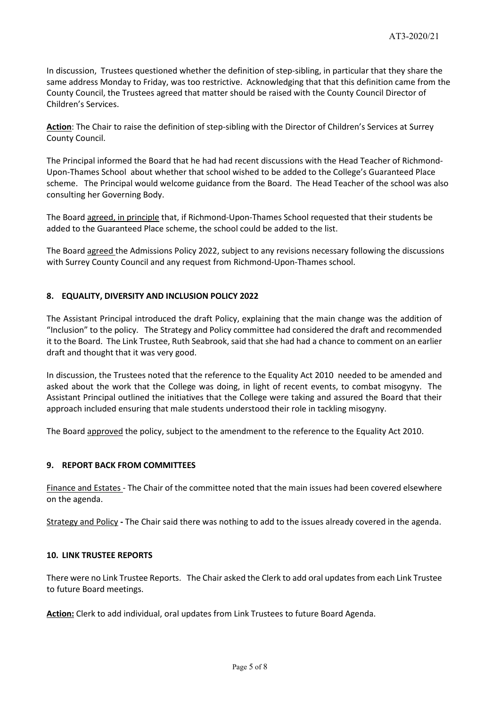In discussion, Trustees questioned whether the definition of step-sibling, in particular that they share the same address Monday to Friday, was too restrictive. Acknowledging that that this definition came from the County Council, the Trustees agreed that matter should be raised with the County Council Director of Children's Services.

**Action**: The Chair to raise the definition of step-sibling with the Director of Children's Services at Surrey County Council.

The Principal informed the Board that he had had recent discussions with the Head Teacher of Richmond-Upon-Thames School about whether that school wished to be added to the College's Guaranteed Place scheme. The Principal would welcome guidance from the Board. The Head Teacher of the school was also consulting her Governing Body.

The Board agreed, in principle that, if Richmond-Upon-Thames School requested that their students be added to the Guaranteed Place scheme, the school could be added to the list.

The Board agreed the Admissions Policy 2022, subject to any revisions necessary following the discussions with Surrey County Council and any request from Richmond-Upon-Thames school.

## **8. EQUALITY, DIVERSITY AND INCLUSION POLICY 2022**

The Assistant Principal introduced the draft Policy, explaining that the main change was the addition of "Inclusion" to the policy. The Strategy and Policy committee had considered the draft and recommended it to the Board. The Link Trustee, Ruth Seabrook, said that she had had a chance to comment on an earlier draft and thought that it was very good.

In discussion, the Trustees noted that the reference to the Equality Act 2010 needed to be amended and asked about the work that the College was doing, in light of recent events, to combat misogyny. The Assistant Principal outlined the initiatives that the College were taking and assured the Board that their approach included ensuring that male students understood their role in tackling misogyny.

The Board approved the policy, subject to the amendment to the reference to the Equality Act 2010.

#### **9. REPORT BACK FROM COMMITTEES**

Finance and Estates - The Chair of the committee noted that the main issues had been covered elsewhere on the agenda.

Strategy and Policy **-** The Chair said there was nothing to add to the issues already covered in the agenda.

#### **10. LINK TRUSTEE REPORTS**

There were no Link Trustee Reports. The Chair asked the Clerk to add oral updates from each Link Trustee to future Board meetings.

**Action:** Clerk to add individual, oral updates from Link Trustees to future Board Agenda.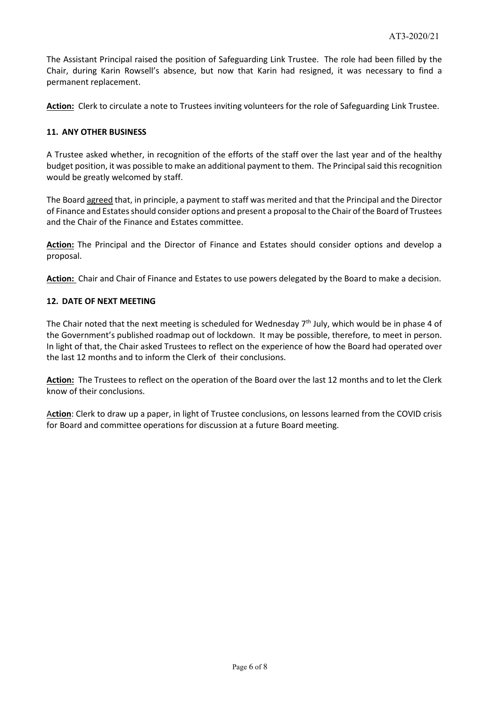The Assistant Principal raised the position of Safeguarding Link Trustee. The role had been filled by the Chair, during Karin Rowsell's absence, but now that Karin had resigned, it was necessary to find a permanent replacement.

**Action:** Clerk to circulate a note to Trustees inviting volunteers for the role of Safeguarding Link Trustee.

## **11. ANY OTHER BUSINESS**

A Trustee asked whether, in recognition of the efforts of the staff over the last year and of the healthy budget position, it was possible to make an additional payment to them. The Principal said this recognition would be greatly welcomed by staff.

The Board agreed that, in principle, a payment to staff was merited and that the Principal and the Director of Finance and Estates should consider options and present a proposal to the Chair of the Board of Trustees and the Chair of the Finance and Estates committee.

**Action:** The Principal and the Director of Finance and Estates should consider options and develop a proposal.

**Action:** Chair and Chair of Finance and Estates to use powers delegated by the Board to make a decision.

## **12. DATE OF NEXT MEETING**

The Chair noted that the next meeting is scheduled for Wednesday  $7<sup>th</sup>$  July, which would be in phase 4 of the Government's published roadmap out of lockdown. It may be possible, therefore, to meet in person. In light of that, the Chair asked Trustees to reflect on the experience of how the Board had operated over the last 12 months and to inform the Clerk of their conclusions.

**Action:** The Trustees to reflect on the operation of the Board over the last 12 months and to let the Clerk know of their conclusions.

A**ction**: Clerk to draw up a paper, in light of Trustee conclusions, on lessons learned from the COVID crisis for Board and committee operations for discussion at a future Board meeting.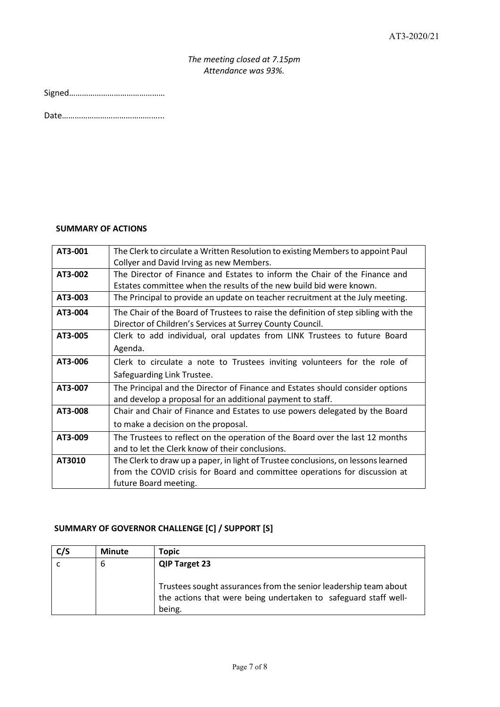# *The meeting closed at 7.15pm Attendance was 93%.*

Date………………………………………...

# **SUMMARY OF ACTIONS**

| AT3-001 | The Clerk to circulate a Written Resolution to existing Members to appoint Paul     |  |  |
|---------|-------------------------------------------------------------------------------------|--|--|
|         | Collyer and David Irving as new Members.                                            |  |  |
| AT3-002 | The Director of Finance and Estates to inform the Chair of the Finance and          |  |  |
|         | Estates committee when the results of the new build bid were known.                 |  |  |
| AT3-003 | The Principal to provide an update on teacher recruitment at the July meeting.      |  |  |
| AT3-004 | The Chair of the Board of Trustees to raise the definition of step sibling with the |  |  |
|         | Director of Children's Services at Surrey County Council.                           |  |  |
| AT3-005 | Clerk to add individual, oral updates from LINK Trustees to future Board            |  |  |
|         | Agenda.                                                                             |  |  |
| AT3-006 | Clerk to circulate a note to Trustees inviting volunteers for the role of           |  |  |
|         | Safeguarding Link Trustee.                                                          |  |  |
| AT3-007 | The Principal and the Director of Finance and Estates should consider options       |  |  |
|         | and develop a proposal for an additional payment to staff.                          |  |  |
| AT3-008 | Chair and Chair of Finance and Estates to use powers delegated by the Board         |  |  |
|         | to make a decision on the proposal.                                                 |  |  |
| AT3-009 | The Trustees to reflect on the operation of the Board over the last 12 months       |  |  |
|         | and to let the Clerk know of their conclusions.                                     |  |  |
| AT3010  | The Clerk to draw up a paper, in light of Trustee conclusions, on lessons learned   |  |  |
|         | from the COVID crisis for Board and committee operations for discussion at          |  |  |
|         | future Board meeting.                                                               |  |  |

# **SUMMARY OF GOVERNOR CHALLENGE [C] / SUPPORT [S]**

| C/S | <b>Minute</b> | Topic                                                                                                                                         |
|-----|---------------|-----------------------------------------------------------------------------------------------------------------------------------------------|
|     | 6             | <b>QIP Target 23</b>                                                                                                                          |
|     |               | Trustees sought assurances from the senior leadership team about<br>the actions that were being undertaken to safeguard staff well-<br>being. |